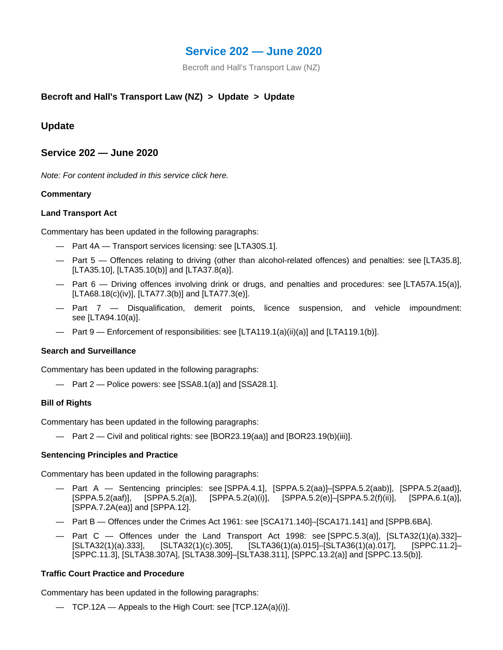# **Service 202 — June 2020**

Becroft and Hall's Transport Law (NZ)

# **Becroft and Hall's Transport Law (NZ) > Update > Update**

# **Update**

## **Service 202 — June 2020**

*Note: For content included in this service click here.*

## **Commentary**

## **Land Transport Act**

Commentary has been updated in the following paragraphs:

- Part 4A Transport services licensing: see [LTA30S.1].
- Part 5 Offences relating to driving (other than alcohol-related offences) and penalties: see [LTA35.8], [LTA35.10], [LTA35.10(b)] and [LTA37.8(a)].
- Part 6 Driving offences involving drink or drugs, and penalties and procedures: see [LTA57A.15(a)], [LTA68.18(c)(iv)], [LTA77.3(b)] and [LTA77.3(e)].
- Part 7 Disqualification, demerit points, licence suspension, and vehicle impoundment: see [LTA94.10(a)].
- Part 9 Enforcement of responsibilities: see [LTA119.1(a)(ii)(a)] and [LTA119.1(b)].

#### **Search and Surveillance**

Commentary has been updated in the following paragraphs:

— Part 2 — Police powers: see [SSA8.1(a)] and [SSA28.1].

#### **Bill of Rights**

Commentary has been updated in the following paragraphs:

— Part 2 — Civil and political rights: see [BOR23.19(aa)] and [BOR23.19(b)(iii)].

#### **Sentencing Principles and Practice**

Commentary has been updated in the following paragraphs:

- Part A Sentencing principles: see [SPPA.4.1], [SPPA.5.2(aa)]–[SPPA.5.2(aab)], [SPPA.5.2(aad)], [SPPA.5.2(aaf)], [SPPA.5.2(a)], [SPPA.5.2(a)(i)], [SPPA.5.2(e)]–[SPPA.5.2(f)(ii)], [SPPA.6.1(a)], [SPPA.7.2A(ea)] and [SPPA.12].
- Part B Offences under the Crimes Act 1961: see [SCA171.140]–[SCA171.141] and [SPPB.6BA].
- Part C Offences under the Land Transport Act 1998: see [SPPC.5.3(a)], [SLTA32(1)(a).332]– [SLTA32(1)(a).333], [SLTA32(1)(c).305], [SLTA36(1)(a).015]–[SLTA36(1)(a).017], [SPPC.11.2]– [SPPC.11.3], [SLTA38.307A], [SLTA38.309]–[SLTA38.311], [SPPC.13.2(a)] and [SPPC.13.5(b)].

## **Traffic Court Practice and Procedure**

Commentary has been updated in the following paragraphs:

— TCP.12A — Appeals to the High Court: see [TCP.12A(a)(i)].